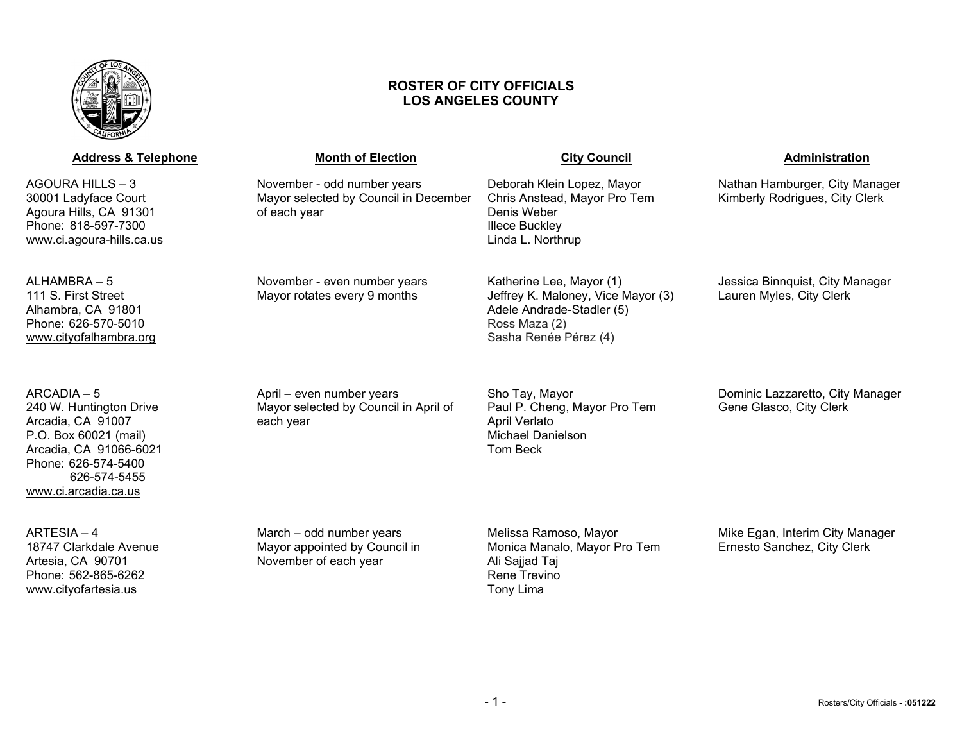

# **ROSTER OF CITY OFFICIALS LOS ANGELES COUNTY**

| <b>Address &amp; Telephone</b>                                                                                                                                                | <b>Month of Election</b>                                                             | <b>City Council</b>                                                                                                                   | <b>Administration</b>                                            |
|-------------------------------------------------------------------------------------------------------------------------------------------------------------------------------|--------------------------------------------------------------------------------------|---------------------------------------------------------------------------------------------------------------------------------------|------------------------------------------------------------------|
| AGOURA HILLS - 3<br>30001 Ladyface Court<br>Agoura Hills, CA 91301<br>Phone: 818-597-7300<br>www.ci.agoura-hills.ca.us                                                        | November - odd number years<br>Mayor selected by Council in December<br>of each year | Deborah Klein Lopez, Mayor<br>Chris Anstead, Mayor Pro Tem<br>Denis Weber<br><b>Illece Buckley</b><br>Linda L. Northrup               | Nathan Hamburger, City Manager<br>Kimberly Rodrigues, City Clerk |
| ALHAMBRA - 5<br>111 S. First Street<br>Alhambra, CA 91801<br>Phone: 626-570-5010<br>www.cityofalhambra.org                                                                    | November - even number years<br>Mayor rotates every 9 months                         | Katherine Lee, Mayor (1)<br>Jeffrey K. Maloney, Vice Mayor (3)<br>Adele Andrade-Stadler (5)<br>Ross Maza (2)<br>Sasha Renée Pérez (4) | Jessica Binnquist, City Manager<br>Lauren Myles, City Clerk      |
| ARCADIA - 5<br>240 W. Huntington Drive<br>Arcadia, CA 91007<br>P.O. Box 60021 (mail)<br>Arcadia, CA 91066-6021<br>Phone: 626-574-5400<br>626-574-5455<br>www.ci.arcadia.ca.us | April - even number years<br>Mayor selected by Council in April of<br>each year      | Sho Tay, Mayor<br>Paul P. Cheng, Mayor Pro Tem<br><b>April Verlato</b><br><b>Michael Danielson</b><br><b>Tom Beck</b>                 | Dominic Lazzaretto, City Manager<br>Gene Glasco, City Clerk      |
| $ARTESIA - 4$<br>18747 Clarkdale Avenue<br>Artesia, CA 90701<br>Phone: 562-865-6262<br>www.cityofartesia.us                                                                   | March – odd number years<br>Mayor appointed by Council in<br>November of each year   | Melissa Ramoso, Mayor<br>Monica Manalo, Mayor Pro Tem<br>Ali Sajjad Taj<br>Rene Trevino<br>Tony Lima                                  | Mike Egan, Interim City Manager<br>Ernesto Sanchez, City Clerk   |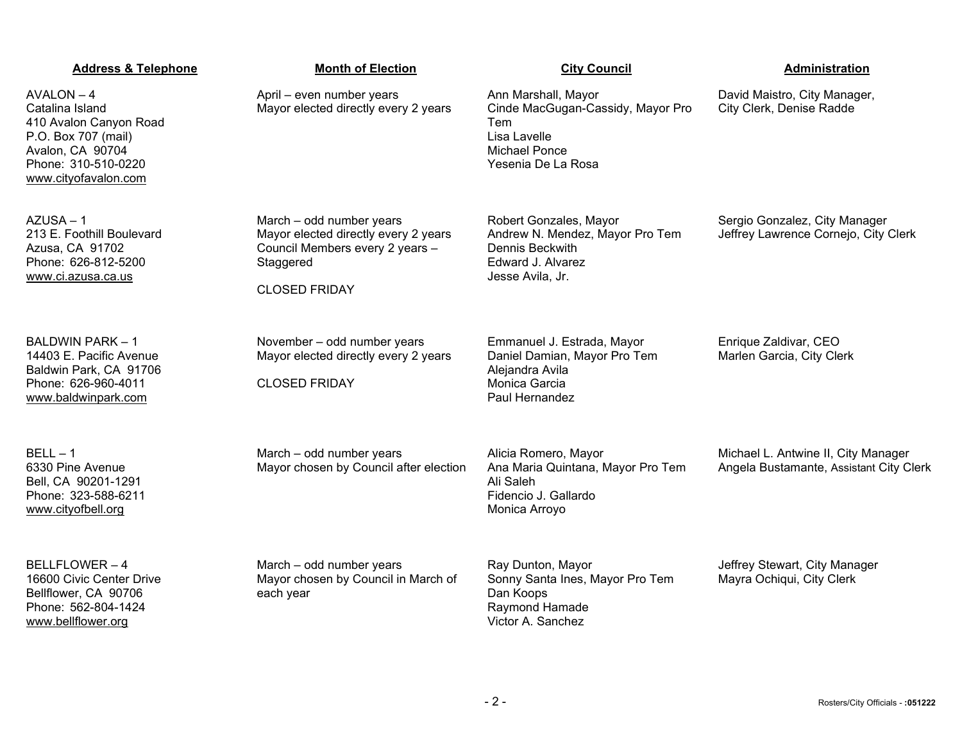| <b>Address &amp; Telephone</b>                                                                                                                      | <b>Month of Election</b>                                                                                                                 | <b>City Council</b>                                                                                                           | Administration                                                                 |
|-----------------------------------------------------------------------------------------------------------------------------------------------------|------------------------------------------------------------------------------------------------------------------------------------------|-------------------------------------------------------------------------------------------------------------------------------|--------------------------------------------------------------------------------|
| $AVALON - 4$<br>Catalina Island<br>410 Avalon Canyon Road<br>P.O. Box 707 (mail)<br>Avalon, CA 90704<br>Phone: 310-510-0220<br>www.cityofavalon.com | April - even number years<br>Mayor elected directly every 2 years                                                                        | Ann Marshall, Mayor<br>Cinde MacGugan-Cassidy, Mayor Pro<br>Tem<br>Lisa Lavelle<br><b>Michael Ponce</b><br>Yesenia De La Rosa | David Maistro, City Manager,<br>City Clerk, Denise Radde                       |
| $AZUSA - 1$<br>213 E. Foothill Boulevard<br>Azusa, CA 91702<br>Phone: 626-812-5200<br>www.ci.azusa.ca.us                                            | March - odd number years<br>Mayor elected directly every 2 years<br>Council Members every 2 years -<br>Staggered<br><b>CLOSED FRIDAY</b> | Robert Gonzales, Mayor<br>Andrew N. Mendez, Mayor Pro Tem<br>Dennis Beckwith<br>Edward J. Alvarez<br>Jesse Avila, Jr.         | Sergio Gonzalez, City Manager<br>Jeffrey Lawrence Cornejo, City Clerk          |
| <b>BALDWIN PARK - 1</b><br>14403 E. Pacific Avenue<br>Baldwin Park, CA 91706<br>Phone: 626-960-4011<br>www.baldwinpark.com                          | November - odd number years<br>Mayor elected directly every 2 years<br><b>CLOSED FRIDAY</b>                                              | Emmanuel J. Estrada, Mayor<br>Daniel Damian, Mayor Pro Tem<br>Alejandra Avila<br>Monica Garcia<br>Paul Hernandez              | Enrique Zaldivar, CEO<br>Marlen Garcia, City Clerk                             |
| $BELL - 1$<br>6330 Pine Avenue<br>Bell, CA 90201-1291<br>Phone: 323-588-6211<br>www.cityofbell.org                                                  | March - odd number years<br>Mayor chosen by Council after election                                                                       | Alicia Romero, Mayor<br>Ana Maria Quintana, Mayor Pro Tem<br>Ali Saleh<br>Fidencio J. Gallardo<br>Monica Arroyo               | Michael L. Antwine II, City Manager<br>Angela Bustamante, Assistant City Clerk |
| <b>BELLFLOWER - 4</b><br>16600 Civic Center Drive<br>Bellflower, CA 90706<br>Phone: 562-804-1424<br>www.bellflower.org                              | March - odd number years<br>Mayor chosen by Council in March of<br>each year                                                             | Ray Dunton, Mayor<br>Sonny Santa Ines, Mayor Pro Tem<br>Dan Koops<br>Raymond Hamade<br>Victor A. Sanchez                      | Jeffrey Stewart, City Manager<br>Mayra Ochiqui, City Clerk                     |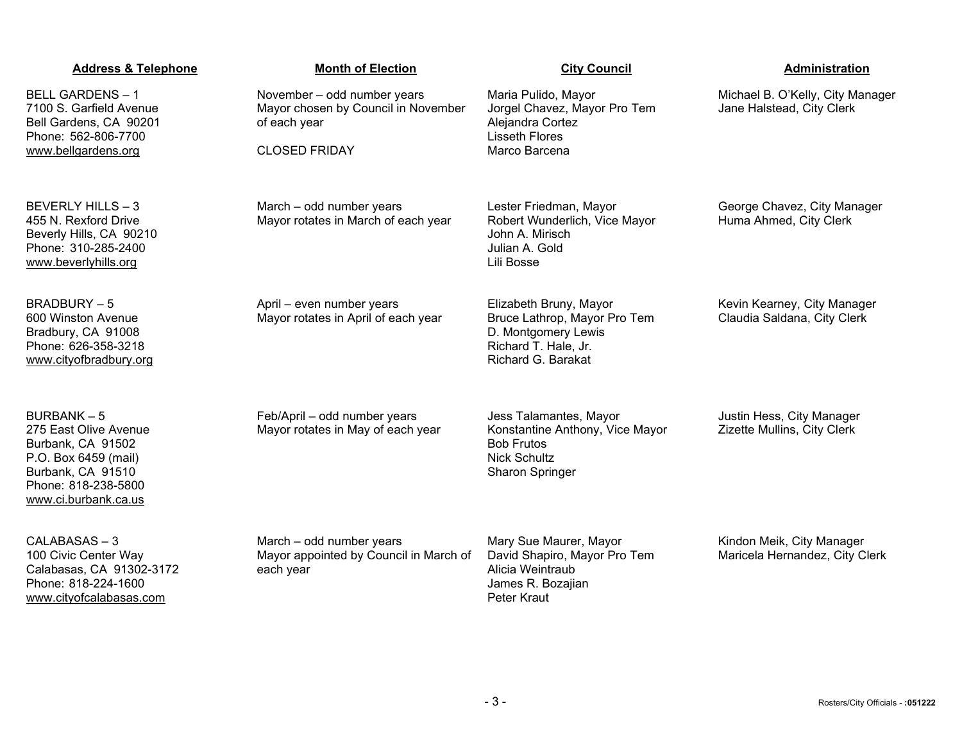| <b>Address &amp; Telephone</b>                                                                                                                             | <b>Month of Election</b>                                                           | <b>City Council</b>                                                                                                         | Administration                                                |
|------------------------------------------------------------------------------------------------------------------------------------------------------------|------------------------------------------------------------------------------------|-----------------------------------------------------------------------------------------------------------------------------|---------------------------------------------------------------|
| <b>BELL GARDENS - 1</b><br>7100 S. Garfield Avenue<br>Bell Gardens, CA 90201<br>Phone: 562-806-7700                                                        | November - odd number years<br>Mayor chosen by Council in November<br>of each year | Maria Pulido, Mayor<br>Jorgel Chavez, Mayor Pro Tem<br>Alejandra Cortez<br><b>Lisseth Flores</b>                            | Michael B. O'Kelly, City Manager<br>Jane Halstead, City Clerk |
| www.bellgardens.org                                                                                                                                        | <b>CLOSED FRIDAY</b>                                                               | Marco Barcena                                                                                                               |                                                               |
| BEVERLY HILLS - 3<br>455 N. Rexford Drive<br>Beverly Hills, CA 90210<br>Phone: 310-285-2400<br>www.beverlyhills.org                                        | March - odd number years<br>Mayor rotates in March of each year                    | Lester Friedman, Mayor<br>Robert Wunderlich, Vice Mayor<br>John A. Mirisch<br>Julian A. Gold<br>Lili Bosse                  | George Chavez, City Manager<br>Huma Ahmed, City Clerk         |
| <b>BRADBURY-5</b><br>600 Winston Avenue<br>Bradbury, CA 91008<br>Phone: 626-358-3218<br>www.cityofbradbury.org                                             | April - even number years<br>Mayor rotates in April of each year                   | Elizabeth Bruny, Mayor<br>Bruce Lathrop, Mayor Pro Tem<br>D. Montgomery Lewis<br>Richard T. Hale, Jr.<br>Richard G. Barakat | Kevin Kearney, City Manager<br>Claudia Saldana, City Clerk    |
| <b>BURBANK-5</b><br>275 East Olive Avenue<br>Burbank, CA 91502<br>P.O. Box 6459 (mail)<br>Burbank, CA 91510<br>Phone: 818-238-5800<br>www.ci.burbank.ca.us | Feb/April - odd number years<br>Mayor rotates in May of each year                  | Jess Talamantes, Mayor<br>Konstantine Anthony, Vice Mayor<br><b>Bob Frutos</b><br><b>Nick Schultz</b><br>Sharon Springer    | Justin Hess, City Manager<br>Zizette Mullins, City Clerk      |
| CALABASAS-3<br>100 Civic Center Way<br>Calabasas, CA 91302-3172<br>Phone: 818-224-1600<br>www.cityofcalabasas.com                                          | March - odd number years<br>Mayor appointed by Council in March of<br>each year    | Mary Sue Maurer, Mayor<br>David Shapiro, Mayor Pro Tem<br>Alicia Weintraub<br>James R. Bozajian<br>Peter Kraut              | Kindon Meik, City Manager<br>Maricela Hernandez, City Clerk   |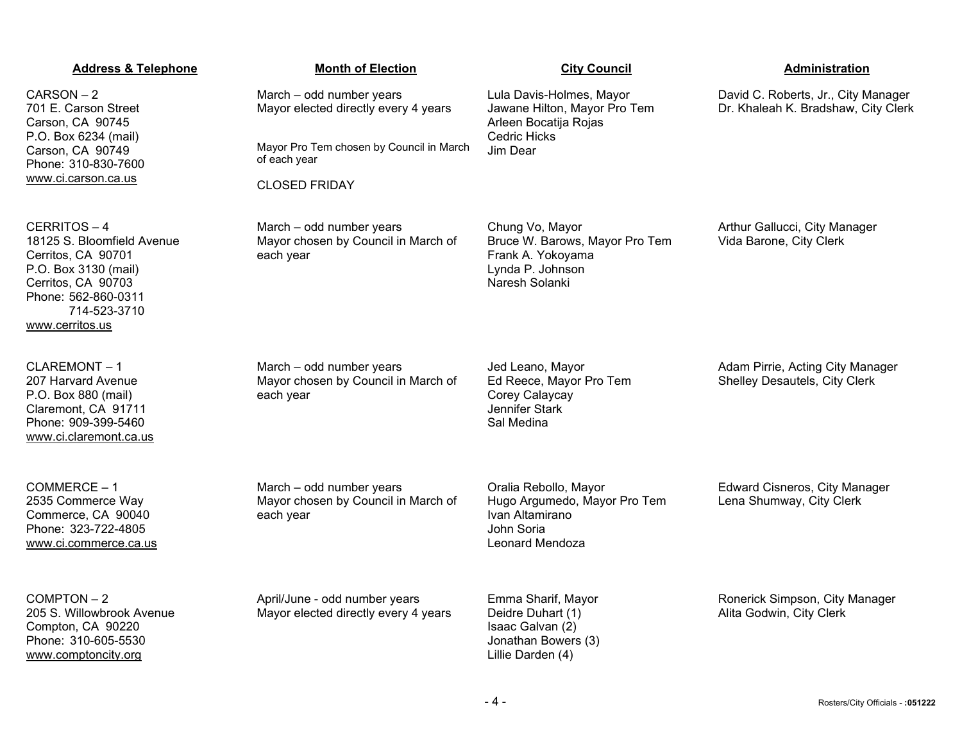CARSON – 2 701 E. Carson Street Carson, CA 90745 P.O. Box 6234 (mail) Carson, CA 90749 Phone: 310-830-7600 [www.ci.carson.ca.us](http://www.ci.carson.ca.us/)

CERRITOS – 4 18125 S. Bloomfield Avenue Cerritos, CA 90701 P.O. Box 3130 (mail) Cerritos, CA 90703 Phone: 562-860-0311 714-523-3710 [www.cerritos.us](http://www.cerritos.us/)

CLAREMONT – 1 207 Harvard Avenue P.O. Box 880 (mail) Claremont, CA 91711 Phone: 909-399-5460 [www.ci.claremont.ca.us](http://www.ci.claremont.ca.us/)

COMMERCE – 1 2535 Commerce Way Commerce, CA 90040 Phone: 323-722-4805 [www.ci.commerce.ca.us](http://www.ci.commerce.ca.us/)

COMPTON – 2 205 S. Willowbrook Avenue Compton, CA 90220 Phone: 310-605-5530 [www.comptoncity.org](http://www.comptoncity.org/)

March – odd number years Mayor elected directly every 4 years

Mayor Pro Tem chosen by Council in March of each year

CLOSED FRIDAY

March – odd number years Mayor chosen by Council in March of each year

Mayor chosen by Council in March of

Mayor chosen by Council in March of

March – odd number years

March – odd number years

April/June - odd number years Mayor elected directly every 4 years

each year

each year

Chung Vo, Mayor Bruce W. Barows, Mayor Pro Tem Frank A. Yokoyama Lynda P. Johnson Naresh Solanki

Lula Davis-Holmes, Mayor Jawane Hilton, Mayor Pro Tem

Arleen Bocatija Rojas

Cedric Hicks Jim Dear

Jed Leano, Mayor Ed Reece, Mayor Pro Tem Corey Calaycay Jennifer Stark Sal Medina

Oralia Rebollo, Mayor Hugo Argumedo, Mayor Pro Tem Ivan Altamirano John Soria Leonard Mendoza

Emma Sharif, Mayor Deidre Duhart (1) Isaac Galvan (2) Jonathan Bowers (3)

Lillie Darden (4)

David C. Roberts, Jr., City Manager Dr. Khaleah K. Bradshaw, City Clerk

Arthur Gallucci, City Manager Vida Barone, City Clerk

Adam Pirrie, Acting City Manager Shelley Desautels, City Clerk

Edward Cisneros, City Manager Lena Shumway, City Clerk

Ronerick Simpson, City Manager Alita Godwin, City Clerk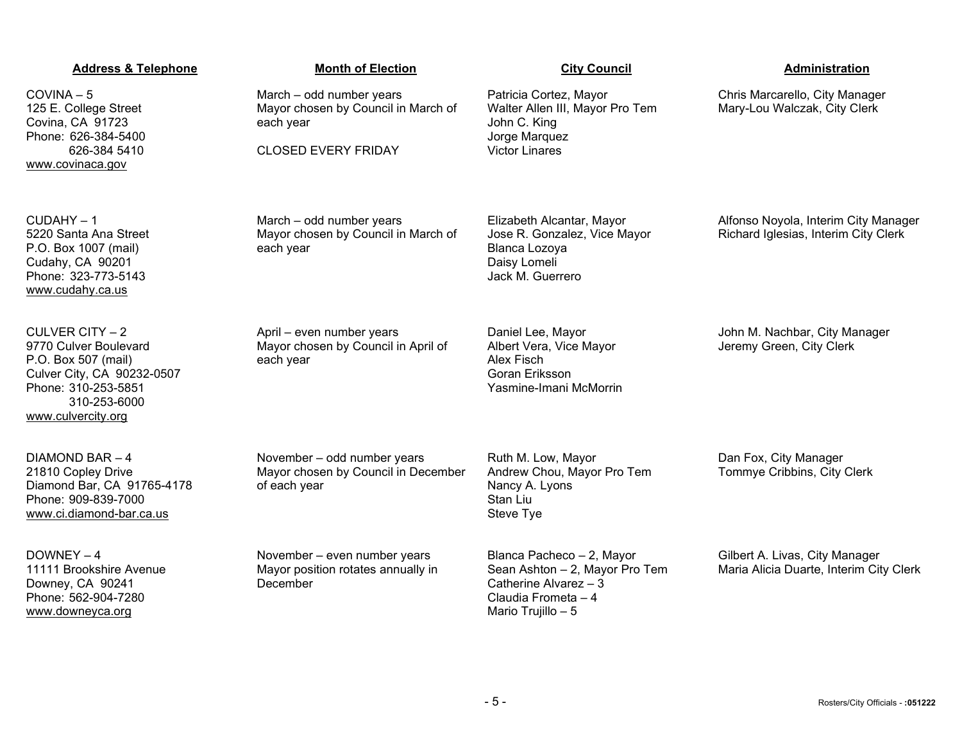COVINA – 5 125 E. College Street Covina, CA 91723 Phone: 626-384-5400 626-384 5410 [www.covinaca.gov](http://www.covinaca.gov/)

 $CUDAHY - 1$ 5220 Santa Ana Street P.O. Box 1007 (mail) Cudahy, CA 90201 Phone: 323-773-5143 [www.cudahy.ca.us](http://www.cudahy.ca.us/)

CULVER CITY – 2 9770 Culver Boulevard P.O. Box 507 (mail) Culver City, CA 90232-0507 Phone: 310-253-5851 310-253-6000 [www.culvercity.org](http://www.culvercity.org/)

DIAMOND BAR – 4 21810 Copley Drive Diamond Bar, CA 91765-4178 Phone: 909-839-7000 [www.ci.diamond-bar.ca.us](http://www.ci.diamond-bar.ca.us/)

DOWNEY – 4 11111 Brookshire Avenue Downey, CA 90241 Phone: 562-904-7280 [www.downeyca.org](http://www.downeyca.org/)

March – odd number years Mayor chosen by Council in March of each year

CLOSED EVERY FRIDAY

March – odd number years Mayor chosen by Council in March of each year

April – even number years Mayor chosen by Council in April of each year

November – odd number years

November – even number years Mayor position rotates annually in

of each year

December

Mayor chosen by Council in December

Daniel Lee, Mayor Albert Vera, Vice Mayor Alex Fisch Goran Eriksson Yasmine-Imani McMorrin

Elizabeth Alcantar, Mayor Jose R. Gonzalez, Vice Mayor

Patricia Cortez, Mayor

John C. King Jorge Marquez Victor Linares

Blanca Lozoya Daisy Lomeli Jack M. Guerrero

Walter Allen III, Mayor Pro Tem

Ruth M. Low, Mayor Andrew Chou, Mayor Pro Tem Nancy A. Lyons Stan Liu Steve Tye

Blanca Pacheco – 2, Mayor Sean Ashton – 2, Mayor Pro Tem Catherine Alvarez – 3 Claudia Frometa – 4 Mario Trujillo – 5

Chris Marcarello, City Manager Mary-Lou Walczak, City Clerk

Alfonso Noyola, Interim City Manager Richard Iglesias, Interim City Clerk

John M. Nachbar, City Manager Jeremy Green, City Clerk

Dan Fox, City Manager Tommye Cribbins, City Clerk

Gilbert A. Livas, City Manager Maria Alicia Duarte, Interim City Clerk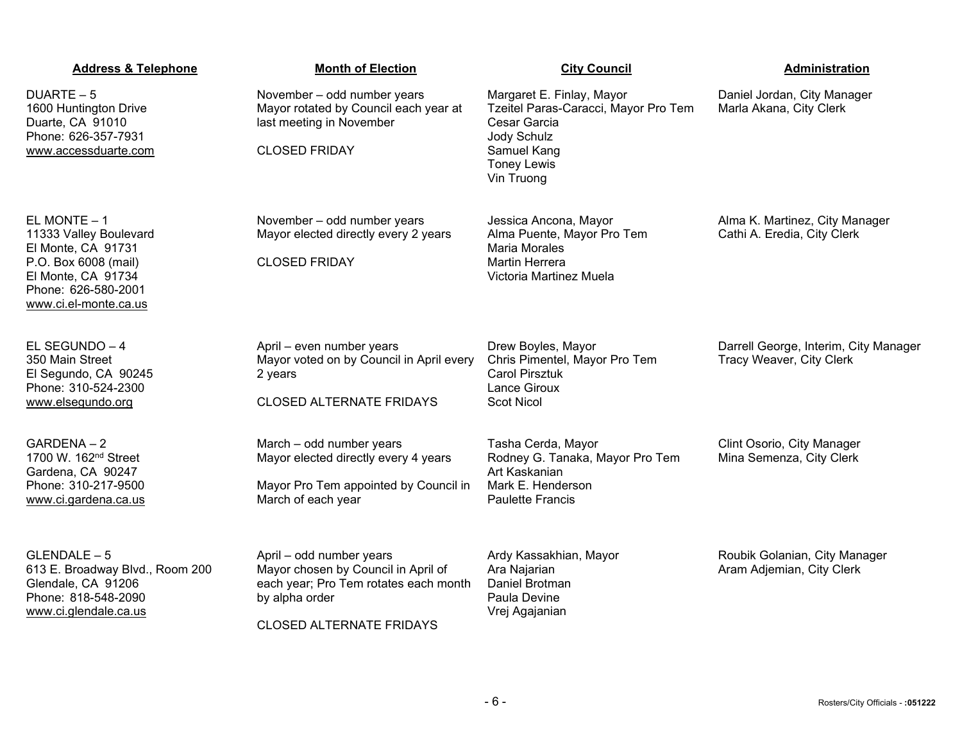| <b>Address &amp; Telephone</b>                                                                                                                              | <b>Month of Election</b>                                                                                                                                      | <b>City Council</b>                                                                                                                                 | Administration                                                    |
|-------------------------------------------------------------------------------------------------------------------------------------------------------------|---------------------------------------------------------------------------------------------------------------------------------------------------------------|-----------------------------------------------------------------------------------------------------------------------------------------------------|-------------------------------------------------------------------|
| $DUARTE - 5$<br>1600 Huntington Drive<br>Duarte, CA 91010<br>Phone: 626-357-7931<br>www.accessduarte.com                                                    | November - odd number years<br>Mayor rotated by Council each year at<br>last meeting in November<br><b>CLOSED FRIDAY</b>                                      | Margaret E. Finlay, Mayor<br>Tzeitel Paras-Caracci, Mayor Pro Tem<br>Cesar Garcia<br>Jody Schulz<br>Samuel Kang<br><b>Toney Lewis</b><br>Vin Truong | Daniel Jordan, City Manager<br>Marla Akana, City Clerk            |
| EL MONTE $-1$<br>11333 Valley Boulevard<br>El Monte, CA 91731<br>P.O. Box 6008 (mail)<br>El Monte, CA 91734<br>Phone: 626-580-2001<br>www.ci.el-monte.ca.us | November - odd number years<br>Mayor elected directly every 2 years<br><b>CLOSED FRIDAY</b>                                                                   | Jessica Ancona, Mayor<br>Alma Puente, Mayor Pro Tem<br>Maria Morales<br><b>Martin Herrera</b><br>Victoria Martinez Muela                            | Alma K. Martinez, City Manager<br>Cathi A. Eredia, City Clerk     |
| EL SEGUNDO - 4<br>350 Main Street<br>El Segundo, CA 90245<br>Phone: 310-524-2300<br>www.elsegundo.org                                                       | April - even number years<br>Mayor voted on by Council in April every<br>2 years<br><b>CLOSED ALTERNATE FRIDAYS</b>                                           | Drew Boyles, Mayor<br>Chris Pimentel, Mayor Pro Tem<br><b>Carol Pirsztuk</b><br>Lance Giroux<br><b>Scot Nicol</b>                                   | Darrell George, Interim, City Manager<br>Tracy Weaver, City Clerk |
| GARDENA-2<br>1700 W. 162 <sup>nd</sup> Street<br>Gardena, CA 90247<br>Phone: 310-217-9500<br>www.ci.gardena.ca.us                                           | March - odd number years<br>Mayor elected directly every 4 years<br>Mayor Pro Tem appointed by Council in<br>March of each year                               | Tasha Cerda, Mayor<br>Rodney G. Tanaka, Mayor Pro Tem<br>Art Kaskanian<br>Mark E. Henderson<br><b>Paulette Francis</b>                              | Clint Osorio, City Manager<br>Mina Semenza, City Clerk            |
| $GLENDALE - 5$<br>613 E. Broadway Blvd., Room 200<br>Glendale, CA 91206<br>Phone: 818-548-2090<br>www.ci.glendale.ca.us                                     | April - odd number years<br>Mayor chosen by Council in April of<br>each year; Pro Tem rotates each month<br>by alpha order<br><b>CLOSED ALTERNATE FRIDAYS</b> | Ardy Kassakhian, Mayor<br>Ara Najarian<br>Daniel Brotman<br>Paula Devine<br>Vrej Agajanian                                                          | Roubik Golanian, City Manager<br>Aram Adjemian, City Clerk        |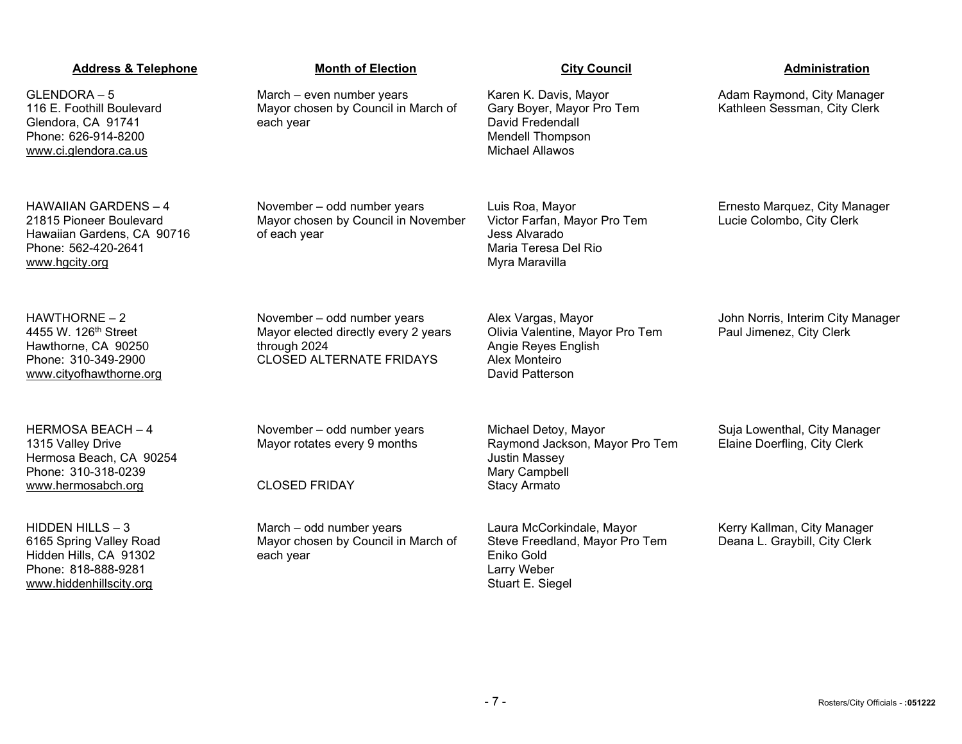| <b>Address &amp; Telephone</b>                                                                                                | <b>Month of Election</b>                                                                                               | <b>City Council</b>                                                                                                         | Administration                                                |
|-------------------------------------------------------------------------------------------------------------------------------|------------------------------------------------------------------------------------------------------------------------|-----------------------------------------------------------------------------------------------------------------------------|---------------------------------------------------------------|
| GLENDORA-5<br>116 E. Foothill Boulevard<br>Glendora, CA 91741<br>Phone: 626-914-8200<br>www.ci.glendora.ca.us                 | March - even number years<br>Mayor chosen by Council in March of<br>each year                                          | Karen K. Davis, Mayor<br>Gary Boyer, Mayor Pro Tem<br>David Fredendall<br><b>Mendell Thompson</b><br><b>Michael Allawos</b> | Adam Raymond, City Manager<br>Kathleen Sessman, City Clerk    |
| <b>HAWAIIAN GARDENS - 4</b><br>21815 Pioneer Boulevard<br>Hawaiian Gardens, CA 90716<br>Phone: 562-420-2641<br>www.hgcity.org | November - odd number years<br>Mayor chosen by Council in November<br>of each year                                     | Luis Roa, Mayor<br>Victor Farfan, Mayor Pro Tem<br>Jess Alvarado<br>Maria Teresa Del Rio<br>Myra Maravilla                  | Ernesto Marquez, City Manager<br>Lucie Colombo, City Clerk    |
| $HAWTHORNE - 2$<br>4455 W. 126 <sup>th</sup> Street<br>Hawthorne, CA 90250<br>Phone: 310-349-2900<br>www.cityofhawthorne.org  | November - odd number years<br>Mayor elected directly every 2 years<br>through 2024<br><b>CLOSED ALTERNATE FRIDAYS</b> | Alex Vargas, Mayor<br>Olivia Valentine, Mayor Pro Tem<br>Angie Reyes English<br>Alex Monteiro<br>David Patterson            | John Norris, Interim City Manager<br>Paul Jimenez, City Clerk |
| <b>HERMOSA BEACH - 4</b><br>1315 Valley Drive<br>Hermosa Beach, CA 90254<br>Phone: 310-318-0239                               | November - odd number years<br>Mayor rotates every 9 months                                                            | Michael Detoy, Mayor<br>Raymond Jackson, Mayor Pro Tem<br><b>Justin Massey</b><br>Mary Campbell                             | Suja Lowenthal, City Manager<br>Elaine Doerfling, City Clerk  |
| www.hermosabch.org                                                                                                            | <b>CLOSED FRIDAY</b>                                                                                                   | <b>Stacy Armato</b>                                                                                                         |                                                               |
| HIDDEN HILLS - 3<br>6165 Spring Valley Road<br>Hidden Hills, CA 91302<br>Phone: 818-888-9281<br>www.hiddenhillscity.org       | March - odd number years<br>Mayor chosen by Council in March of<br>each year                                           | Laura McCorkindale, Mayor<br>Steve Freedland, Mayor Pro Tem<br>Eniko Gold<br>Larry Weber<br>Stuart E. Siegel                | Kerry Kallman, City Manager<br>Deana L. Graybill, City Clerk  |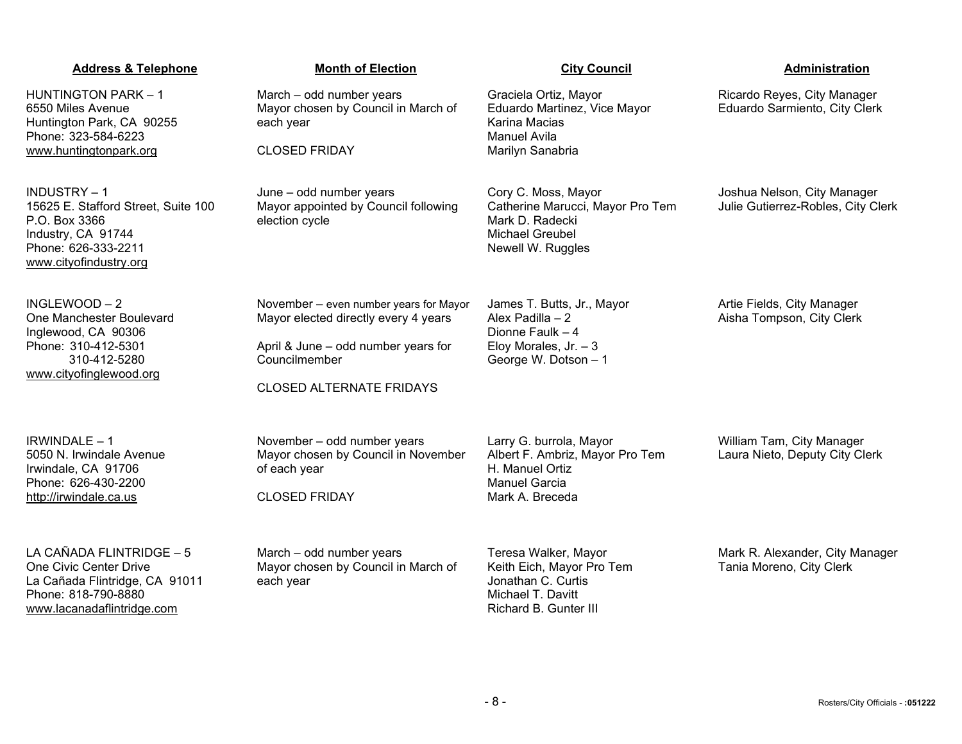| Michael T. Davitt     |  |
|-----------------------|--|
| Richard B. Gunter III |  |
|                       |  |
|                       |  |
|                       |  |
|                       |  |
|                       |  |

Huntington Park, CA 90255 Phone: 323-584-6223 [www.huntingtonpark.org](http://www.huntingtonpark.org/) each year CLOSED FRIDAY Karina Macias Manuel Avila Marilyn Sanabria INDUSTRY – 1 15625 E. Stafford Street, Suite 100 P.O. Box 3366 Industry, CA 91744 Phone: 626-333-2211 [www.cityofindustry.org](http://www.cityofindustry.org/) June – odd number years Mayor appointed by Council following election cycle Cory C. Moss, Mayor Catherine Marucci, Mayor Pro Tem Mark D. Radecki Michael Greubel Newell W. Ruggles INGLEWOOD – 2 One Manchester Boulevard Inglewood, CA 90306 Phone: 310-412-5301 310-412-5280 [www.cityofinglewood.org](http://www.cityofinglewood.org/) November – even number years for Mayor Mayor elected directly every 4 years April & June – odd number years for Councilmember CLOSED ALTERNATE FRIDAYS James T. Butts, Jr., Mayor Alex Padilla – 2 Dionne Faulk – 4 Elov Morales,  $Jr. - 3$ George W. Dotson – 1 IRWINDALE – 1 5050 N. Irwindale Avenue Irwindale, CA 91706 Phone: 626-430-2200 November – odd number years Mayor chosen by Council in November of each year Larry G. burrola, Mayor Albert F. Ambriz, Mayor Pro Tem H. Manuel Ortiz

March – odd number years

Mayor chosen by Council in March of

**Address & Telephone Month of Election City Council Administration**

Graciela Ortiz, Mayor

Eduardo Martinez, Vice Mayor

One Civic Center Drive La Cañada Flintridge, CA 91011 Phone: 818-790-8880 [www.lacanadaflintridge.com](http://www.lacanadaflintridge.com/)

[http://irwindale.ca.us](http://irwindale.ca.us/)

HUNTINGTON PARK – 1 6550 Miles Avenue

LA CAÑADA FLINTRIDGE – 5

March – odd number years Mayor chosen by Council in March of each year

CLOSED FRIDAY

Manuel Garcia Mark A. Breceda

Teresa Walker, Mayor Keith Eich, Mayor Pro Tem

Jonathan C. Curtis

Artie Fields, City Manager Aisha Tompson, City Clerk

William Tam, City Manager Laura Nieto, Deputy City Clerk

Mark R. Alexander, City Manager

Tania Moreno, City Clerk

Ricardo Reyes, City Manager

Joshua Nelson, City Manager Julie Gutierrez-Robles, City Clerk

Eduardo Sarmiento, City Clerk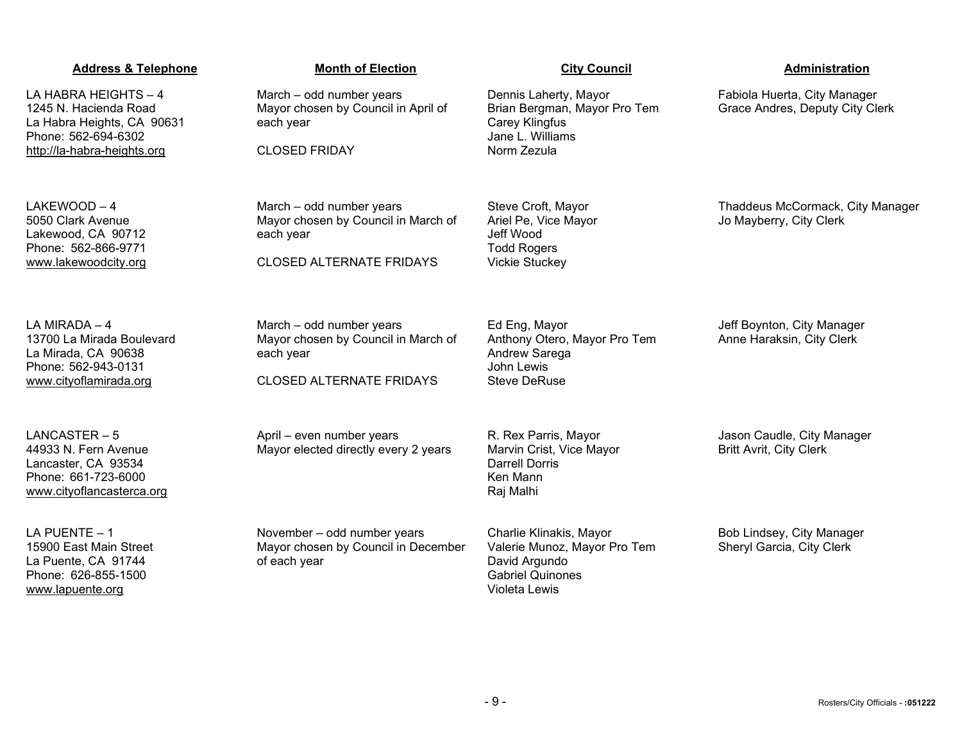| <b>Address &amp; Telephone</b>                                                                                   | <b>Month of Election</b>                                                           | <b>City Council</b>                                                                                                  | Administration                                                  |
|------------------------------------------------------------------------------------------------------------------|------------------------------------------------------------------------------------|----------------------------------------------------------------------------------------------------------------------|-----------------------------------------------------------------|
| LA HABRA HEIGHTS - 4<br>1245 N. Hacienda Road<br>La Habra Heights, CA 90631<br>Phone: 562-694-6302               | March - odd number years<br>Mayor chosen by Council in April of<br>each year       | Dennis Laherty, Mayor<br>Brian Bergman, Mayor Pro Tem<br>Carey Klingfus<br>Jane L. Williams                          | Fabiola Huerta, City Manager<br>Grace Andres, Deputy City Clerk |
| http://la-habra-heights.org                                                                                      | <b>CLOSED FRIDAY</b>                                                               | Norm Zezula                                                                                                          |                                                                 |
| $LAKEWOOD - 4$<br>5050 Clark Avenue<br>Lakewood, CA 90712<br>Phone: 562-866-9771                                 | March - odd number years<br>Mayor chosen by Council in March of<br>each year       | Steve Croft, Mayor<br>Ariel Pe, Vice Mayor<br>Jeff Wood<br><b>Todd Rogers</b>                                        | Thaddeus McCormack, City Manager<br>Jo Mayberry, City Clerk     |
| www.lakewoodcity.org                                                                                             | <b>CLOSED ALTERNATE FRIDAYS</b>                                                    | <b>Vickie Stuckey</b>                                                                                                |                                                                 |
| LA MIRADA - 4<br>13700 La Mirada Boulevard<br>La Mirada, CA 90638<br>Phone: 562-943-0131                         | March - odd number years<br>Mayor chosen by Council in March of<br>each year       | Ed Eng, Mayor<br>Anthony Otero, Mayor Pro Tem<br>Andrew Sarega<br>John Lewis                                         | Jeff Boynton, City Manager<br>Anne Haraksin, City Clerk         |
| www.cityoflamirada.org                                                                                           | <b>CLOSED ALTERNATE FRIDAYS</b>                                                    | <b>Steve DeRuse</b>                                                                                                  |                                                                 |
| $LANCASTER-5$<br>44933 N. Fern Avenue<br>Lancaster, CA 93534<br>Phone: 661-723-6000<br>www.cityoflancasterca.org | April - even number years<br>Mayor elected directly every 2 years                  | R. Rex Parris, Mayor<br>Marvin Crist, Vice Mayor<br><b>Darrell Dorris</b><br>Ken Mann<br>Raj Malhi                   | Jason Caudle, City Manager<br><b>Britt Avrit, City Clerk</b>    |
| LA PUENTE - 1<br>15900 East Main Street<br>La Puente, CA 91744<br>Phone: 626-855-1500<br>www.lapuente.org        | November - odd number years<br>Mayor chosen by Council in December<br>of each year | Charlie Klinakis, Mayor<br>Valerie Munoz, Mayor Pro Tem<br>David Argundo<br><b>Gabriel Quinones</b><br>Violeta Lewis | Bob Lindsey, City Manager<br>Sheryl Garcia, City Clerk          |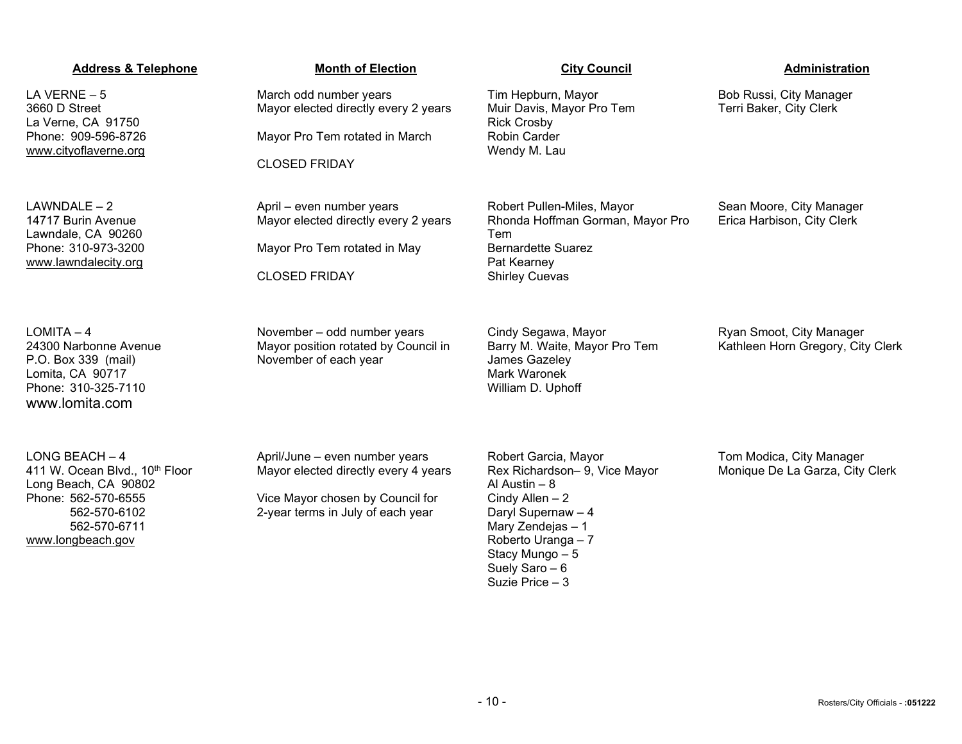### **Address & Telephone Month of Election City Council Administration** LA VERNE – 5 3660 D Street La Verne, CA 91750 Phone: 909-596-8726 www.cityoflaverne.org March odd number years Mayor elected directly every 2 years Mayor Pro Tem rotated in March CLOSED FRIDAY Tim Hepburn, Mayor Muir Davis, Mayor Pro Tem Rick Crosby Robin Carder Wendy M. Lau Bob Russi, City Manager Terri Baker, City Clerk  $LAWNDALE - 2$ 14717 Burin Avenue Lawndale, CA 90260 Phone: 310-973-3200 [www.lawndalecity.org](http://www.lawndalecity.org/) April – even number years Mayor elected directly every 2 years Mayor Pro Tem rotated in May CLOSED FRIDAY Robert Pullen-Miles, Mayor Rhonda Hoffman Gorman, Mayor Pro Tem Bernardette Suarez Pat Kearney Shirley Cuevas Sean Moore, City Manager Erica Harbison, City Clerk LOMITA – 4 24300 Narbonne Avenue P.O. Box 339 (mail) Lomita, CA 90717 Phone: 310-325-7110 www.lomita.com November – odd number years Mayor position rotated by Council in November of each year Cindy Segawa, Mayor Barry M. Waite, Mayor Pro Tem James Gazeley Mark Waronek William D. Uphoff Ryan Smoot, City Manager Kathleen Horn Gregory, City Clerk LONG BEACH – 4 411 W. Ocean Blvd., 10<sup>th</sup> Floor Long Beach, CA 90802 Phone: 562-570-6555 562-570-6102 562-570-6711 [www.longbeach.gov](http://www.longbeach.gov/) April/June – even number years Mayor elected directly every 4 years Vice Mayor chosen by Council for 2-year terms in July of each year Robert Garcia, Mayor Rex Richardson– 9, Vice Mayor Al Austin – 8 Cindy Allen – 2 Daryl Supernaw – 4 Mary Zendejas – 1 Roberto Uranga – 7 Stacy Mungo – 5 Suely Saro – 6 Suzie Price – 3 Tom Modica, City Manager Monique De La Garza, City Clerk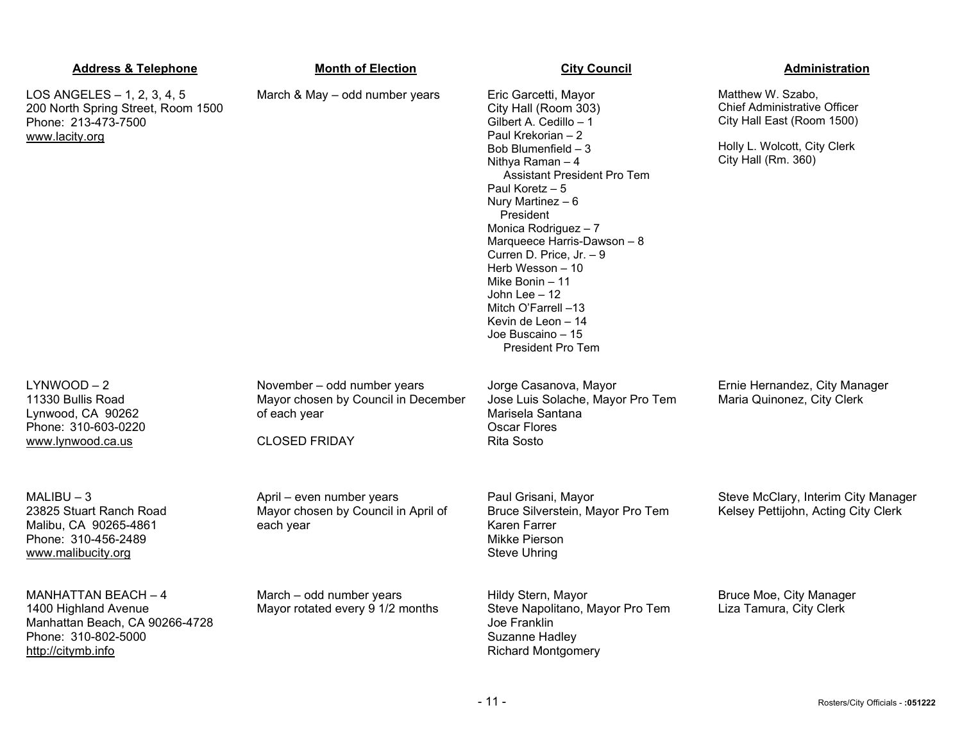| <b>Address &amp; Telephone</b>                                                                                                    | <b>Month of Election</b>                                                                                   | <b>City Council</b>                                                                                                                                                                                                                                                                                                                                                                                                                                                         | Administration                                                                                                                                |
|-----------------------------------------------------------------------------------------------------------------------------------|------------------------------------------------------------------------------------------------------------|-----------------------------------------------------------------------------------------------------------------------------------------------------------------------------------------------------------------------------------------------------------------------------------------------------------------------------------------------------------------------------------------------------------------------------------------------------------------------------|-----------------------------------------------------------------------------------------------------------------------------------------------|
| LOS ANGELES - 1, 2, 3, 4, 5<br>200 North Spring Street, Room 1500<br>Phone: 213-473-7500<br>www.lacity.org                        | March & May - odd number years                                                                             | Eric Garcetti, Mayor<br>City Hall (Room 303)<br>Gilbert A. Cedillo - 1<br>Paul Krekorian - 2<br>Bob Blumenfield $-3$<br>Nithya Raman $-4$<br><b>Assistant President Pro Tem</b><br>Paul Koretz $-5$<br>Nury Martinez $-6$<br>President<br>Monica Rodriguez - 7<br>Marqueece Harris-Dawson - 8<br>Curren D. Price, Jr. - 9<br>Herb Wesson - 10<br>Mike Bonin $-11$<br>John Lee $-12$<br>Mitch O'Farrell -13<br>Kevin de Leon $-14$<br>Joe Buscaino - 15<br>President Pro Tem | Matthew W. Szabo,<br><b>Chief Administrative Officer</b><br>City Hall East (Room 1500)<br>Holly L. Wolcott, City Clerk<br>City Hall (Rm. 360) |
| $LYNWOOD - 2$<br>11330 Bullis Road<br>Lynwood, CA 90262<br>Phone: 310-603-0220<br>www.lynwood.ca.us                               | November - odd number years<br>Mayor chosen by Council in December<br>of each year<br><b>CLOSED FRIDAY</b> | Jorge Casanova, Mayor<br>Jose Luis Solache, Mayor Pro Tem<br>Marisela Santana<br><b>Oscar Flores</b><br><b>Rita Sosto</b>                                                                                                                                                                                                                                                                                                                                                   | Ernie Hernandez, City Manager<br>Maria Quinonez, City Clerk                                                                                   |
| $MALIBU - 3$<br>23825 Stuart Ranch Road<br>Malibu, CA 90265-4861<br>Phone: 310-456-2489<br>www.malibucity.org                     | April - even number years<br>Mayor chosen by Council in April of<br>each year                              | Paul Grisani, Mayor<br>Bruce Silverstein, Mayor Pro Tem<br>Karen Farrer<br>Mikke Pierson<br><b>Steve Uhring</b>                                                                                                                                                                                                                                                                                                                                                             | Steve McClary, Interim City Manager<br>Kelsey Pettijohn, Acting City Clerk                                                                    |
| <b>MANHATTAN BEACH - 4</b><br>1400 Highland Avenue<br>Manhattan Beach, CA 90266-4728<br>Phone: 310-802-5000<br>http://citymb.info | March - odd number years<br>Mayor rotated every 9 1/2 months                                               | Hildy Stern, Mayor<br>Steve Napolitano, Mayor Pro Tem<br>Joe Franklin<br>Suzanne Hadley<br><b>Richard Montgomery</b>                                                                                                                                                                                                                                                                                                                                                        | Bruce Moe, City Manager<br>Liza Tamura, City Clerk                                                                                            |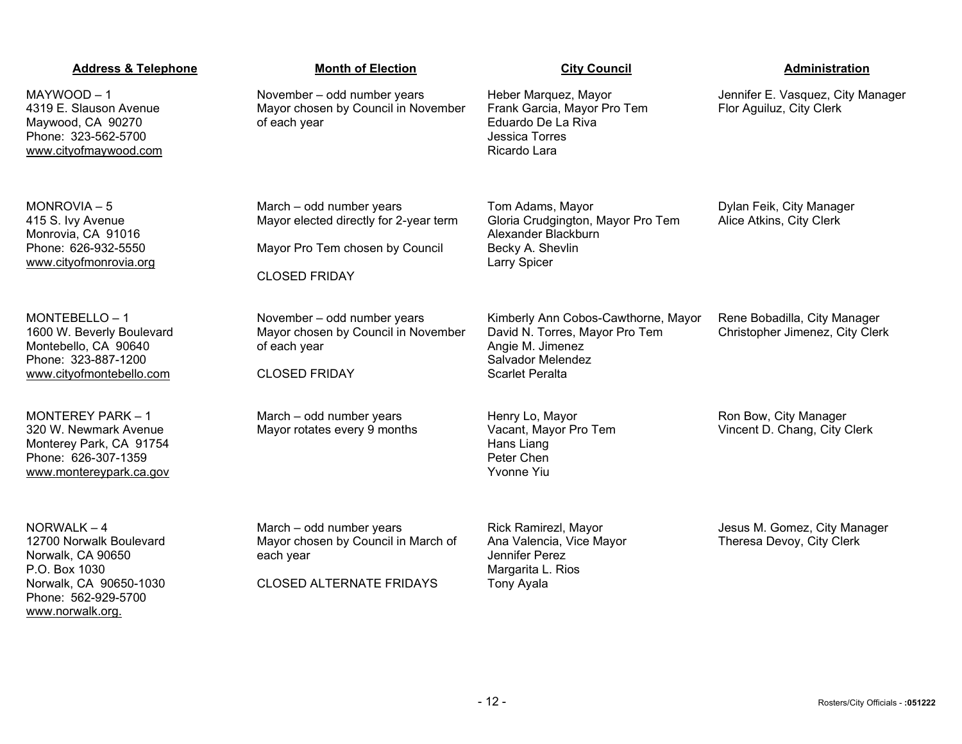# March – odd number years Mayor chosen by Council in March of each year CLOSED ALTERNATE FRIDAYS Rick Ramirezl, Mayor Ana Valencia, Vice Mayor Jennifer Perez Margarita L. Rios Tony Ayala Jesus M. Gomez, City Manager Theresa Devoy, City Clerk

| YWOOD – 1<br>9 E. Slauson Avenue<br>wood, CA 90270<br>ne: 323-562-5700<br><u>w.cityofmaywood.com</u>                           | November - odd number years<br>Mayor chosen by Council in November<br>of each year                                            | Heber Marquez, Mayor<br>Frank Garcia, Mayor Pro Tem<br>Eduardo De La Riva<br>Jessica Torres<br>Ricardo Lara                              | Jennifer E. Vasquez, City Manager<br>Flor Aguiluz, City Clerk   |
|--------------------------------------------------------------------------------------------------------------------------------|-------------------------------------------------------------------------------------------------------------------------------|------------------------------------------------------------------------------------------------------------------------------------------|-----------------------------------------------------------------|
| NROVIA-5<br>S. Ivy Avenue<br>nrovia, CA 91016<br>ne: 626-932-5550<br>w.cityofmonrovia.org                                      | March - odd number years<br>Mayor elected directly for 2-year term<br>Mayor Pro Tem chosen by Council<br><b>CLOSED FRIDAY</b> | Tom Adams, Mayor<br>Gloria Crudgington, Mayor Pro Tem<br>Alexander Blackburn<br>Becky A. Shevlin<br>Larry Spicer                         | Dylan Feik, City Manager<br>Alice Atkins, City Clerk            |
| NTEBELLO-1<br>0 W. Beverly Boulevard<br>ntebello, CA 90640<br>ne: 323-887-1200<br>w.cityofmontebello.com                       | November - odd number years<br>Mayor chosen by Council in November<br>of each year<br><b>CLOSED FRIDAY</b>                    | Kimberly Ann Cobos-Cawthorne, Mayor<br>David N. Torres, Mayor Pro Tem<br>Angie M. Jimenez<br>Salvador Melendez<br><b>Scarlet Peralta</b> | Rene Bobadilla, City Manager<br>Christopher Jimenez, City Clerk |
| NTEREY PARK - 1<br>W. Newmark Avenue<br>nterey Park, CA 91754<br>ne: 626-307-1359<br>w.montereypark.ca.gov                     | March - odd number years<br>Mayor rotates every 9 months                                                                      | Henry Lo, Mayor<br>Vacant, Mayor Pro Tem<br>Hans Liang<br>Peter Chen<br><b>Yvonne Yiu</b>                                                | Ron Bow, City Manager<br>Vincent D. Chang, City Clerk           |
| RWALK – 4<br>00 Norwalk Boulevard<br>walk, CA 90650<br>. Box 1030<br>walk, CA 90650-1030<br>ne: 562-929-5700<br>w.norwalk.org. | March - odd number years<br>Mayor chosen by Council in March of<br>each year<br><b>CLOSED ALTERNATE FRIDAYS</b>               | Rick Ramirezl, Mayor<br>Ana Valencia, Vice Mayor<br>Jennifer Perez<br>Margarita L. Rios<br><b>Tony Ayala</b>                             | Jesus M. Gomez, City Manager<br>Theresa Devoy, City Clerk       |

# **Address & Telephone Month of Election City Council Current Communistration**

 $MAY$ 4319 May Pho www

MO<sub>I</sub> 415 Mon Phon ww

MOI 1600 Mon Phon ww

MOI 320 W. Newmark Avenue Mon Pho ww

NOI  $1270$ Nory P.O. Norw Phon www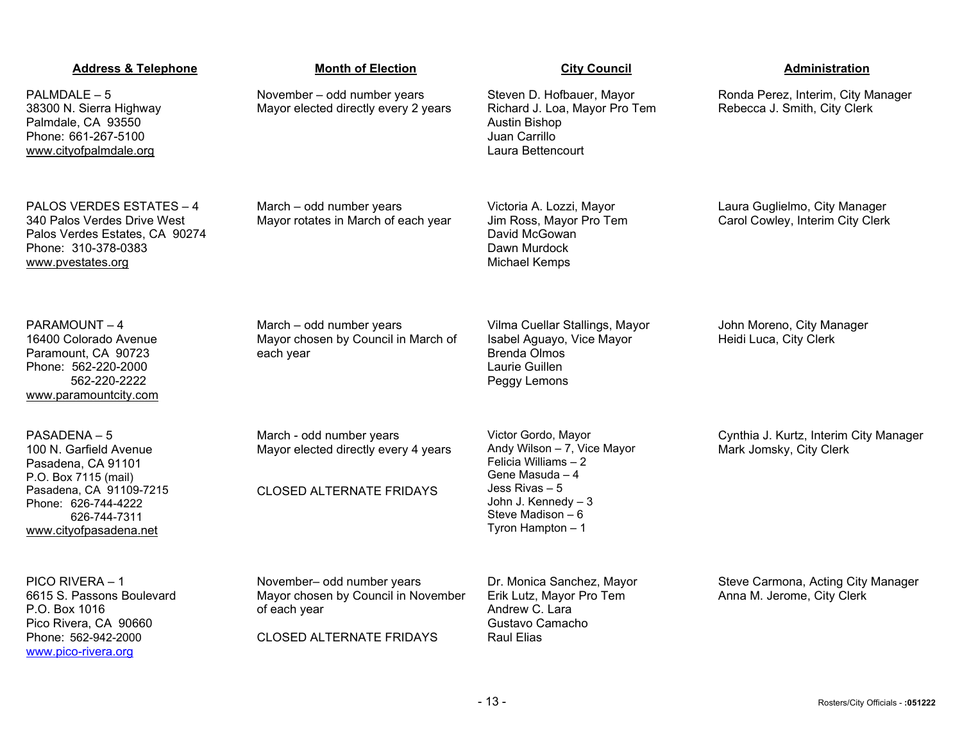| <b>Address &amp; Telephone</b>                                                                                                                                                 | <b>Month of Election</b>                                                                                             | <b>City Council</b>                                                                                                                                                               | Administration                                                     |
|--------------------------------------------------------------------------------------------------------------------------------------------------------------------------------|----------------------------------------------------------------------------------------------------------------------|-----------------------------------------------------------------------------------------------------------------------------------------------------------------------------------|--------------------------------------------------------------------|
| PALMDALE - 5<br>38300 N. Sierra Highway<br>Palmdale, CA 93550<br>Phone: 661-267-5100<br>www.cityofpalmdale.org                                                                 | November - odd number years<br>Mayor elected directly every 2 years                                                  | Steven D. Hofbauer, Mayor<br>Richard J. Loa, Mayor Pro Tem<br>Austin Bishop<br>Juan Carrillo<br>Laura Bettencourt                                                                 | Ronda Perez, Interim, City Manager<br>Rebecca J. Smith, City Clerk |
| PALOS VERDES ESTATES - 4<br>340 Palos Verdes Drive West<br>Palos Verdes Estates, CA 90274<br>Phone: 310-378-0383<br>www.pvestates.org                                          | March - odd number years<br>Mayor rotates in March of each year                                                      | Victoria A. Lozzi, Mayor<br>Jim Ross, Mayor Pro Tem<br>David McGowan<br>Dawn Murdock<br><b>Michael Kemps</b>                                                                      | Laura Guglielmo, City Manager<br>Carol Cowley, Interim City Clerk  |
| PARAMOUNT-4<br>16400 Colorado Avenue<br>Paramount, CA 90723<br>Phone: 562-220-2000<br>562-220-2222<br>www.paramountcity.com                                                    | March - odd number years<br>Mayor chosen by Council in March of<br>each year                                         | Vilma Cuellar Stallings, Mayor<br>Isabel Aguayo, Vice Mayor<br><b>Brenda Olmos</b><br>Laurie Guillen<br>Peggy Lemons                                                              | John Moreno, City Manager<br>Heidi Luca, City Clerk                |
| PASADENA-5<br>100 N. Garfield Avenue<br>Pasadena, CA 91101<br>P.O. Box 7115 (mail)<br>Pasadena, CA 91109-7215<br>Phone: 626-744-4222<br>626-744-7311<br>www.cityofpasadena.net | March - odd number years<br>Mayor elected directly every 4 years<br><b>CLOSED ALTERNATE FRIDAYS</b>                  | Victor Gordo, Mayor<br>Andy Wilson - 7, Vice Mayor<br>Felicia Williams - 2<br>Gene Masuda - 4<br>Jess Rivas – 5<br>John J. Kennedy - 3<br>Steve Madison $-6$<br>Tyron Hampton - 1 | Cynthia J. Kurtz, Interim City Manager<br>Mark Jomsky, City Clerk  |
| PICO RIVERA - 1<br>6615 S. Passons Boulevard<br>P.O. Box 1016<br>Pico Rivera, CA 90660<br>Phone: 562-942-2000<br>www.pico-rivera.org                                           | November- odd number years<br>Mayor chosen by Council in November<br>of each year<br><b>CLOSED ALTERNATE FRIDAYS</b> | Dr. Monica Sanchez, Mayor<br>Erik Lutz, Mayor Pro Tem<br>Andrew C. Lara<br>Gustavo Camacho<br>Raul Elias                                                                          | Steve Carmona, Acting City Manager<br>Anna M. Jerome, City Clerk   |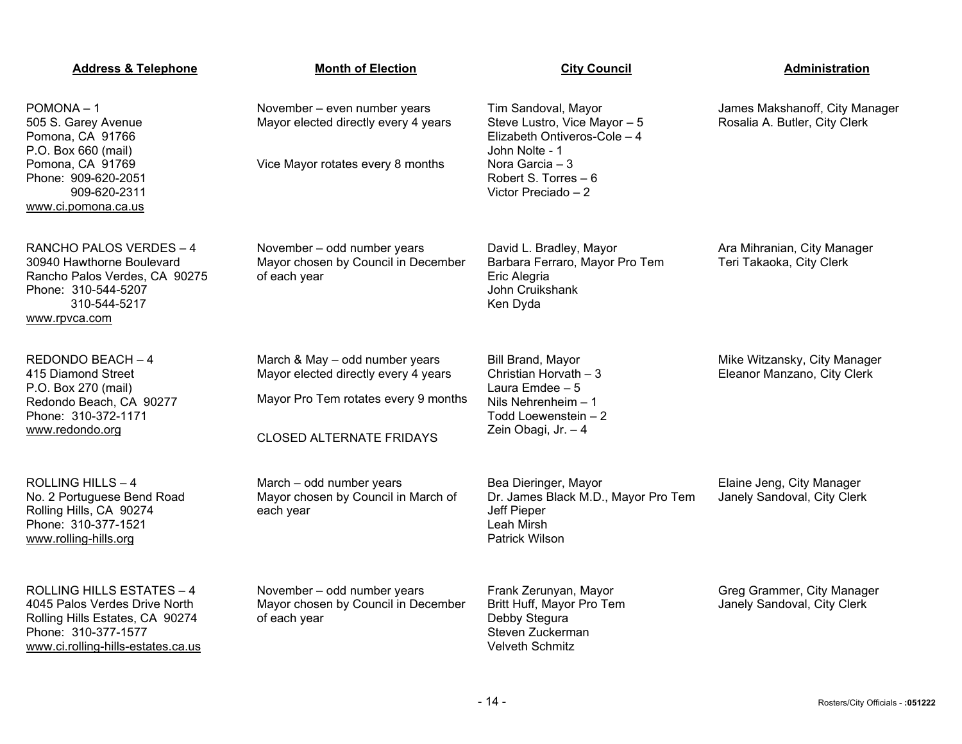| <b>Address &amp; Telephone</b>                                                                                                                                    | <b>Month of Election</b>                                                                                                                          | <b>City Council</b>                                                                                                                                                     | Administration                                                  |
|-------------------------------------------------------------------------------------------------------------------------------------------------------------------|---------------------------------------------------------------------------------------------------------------------------------------------------|-------------------------------------------------------------------------------------------------------------------------------------------------------------------------|-----------------------------------------------------------------|
| $POMONA - 1$<br>505 S. Garey Avenue<br>Pomona, CA 91766<br>P.O. Box 660 (mail)<br>Pomona, CA 91769<br>Phone: 909-620-2051<br>909-620-2311<br>www.ci.pomona.ca.us  | November - even number years<br>Mayor elected directly every 4 years<br>Vice Mayor rotates every 8 months                                         | Tim Sandoval, Mayor<br>Steve Lustro, Vice Mayor - 5<br>Elizabeth Ontiveros-Cole - 4<br>John Nolte - 1<br>Nora Garcia – 3<br>Robert S. Torres - 6<br>Victor Preciado - 2 | James Makshanoff, City Manager<br>Rosalia A. Butler, City Clerk |
| RANCHO PALOS VERDES - 4<br>30940 Hawthorne Boulevard<br>Rancho Palos Verdes, CA 90275<br>Phone: 310-544-5207<br>310-544-5217<br>www.rpvca.com                     | November - odd number years<br>Mayor chosen by Council in December<br>of each year                                                                | David L. Bradley, Mayor<br>Barbara Ferraro, Mayor Pro Tem<br>Eric Alegria<br>John Cruikshank<br>Ken Dyda                                                                | Ara Mihranian, City Manager<br>Teri Takaoka, City Clerk         |
| REDONDO BEACH-4<br>415 Diamond Street<br>P.O. Box 270 (mail)<br>Redondo Beach, CA 90277<br>Phone: 310-372-1171<br>www.redondo.org                                 | March & May - odd number years<br>Mayor elected directly every 4 years<br>Mayor Pro Tem rotates every 9 months<br><b>CLOSED ALTERNATE FRIDAYS</b> | Bill Brand, Mayor<br>Christian Horvath - 3<br>Laura Emdee - 5<br>Nils Nehrenheim $-1$<br>Todd Loewenstein - 2<br>Zein Obagi, Jr. - 4                                    | Mike Witzansky, City Manager<br>Eleanor Manzano, City Clerk     |
| <b>ROLLING HILLS - 4</b><br>No. 2 Portuguese Bend Road<br>Rolling Hills, CA 90274<br>Phone: 310-377-1521<br>www.rolling-hills.org                                 | March - odd number years<br>Mayor chosen by Council in March of<br>each year                                                                      | Bea Dieringer, Mayor<br>Dr. James Black M.D., Mayor Pro Tem<br>Jeff Pieper<br>Leah Mirsh<br>Patrick Wilson                                                              | Elaine Jeng, City Manager<br>Janely Sandoval, City Clerk        |
| <b>ROLLING HILLS ESTATES - 4</b><br>4045 Palos Verdes Drive North<br>Rolling Hills Estates, CA 90274<br>Phone: 310-377-1577<br>www.ci.rolling-hills-estates.ca.us | November - odd number years<br>Mayor chosen by Council in December<br>of each year                                                                | Frank Zerunyan, Mayor<br>Britt Huff, Mayor Pro Tem<br>Debby Stegura<br>Steven Zuckerman<br><b>Velveth Schmitz</b>                                                       | Greg Grammer, City Manager<br>Janely Sandoval, City Clerk       |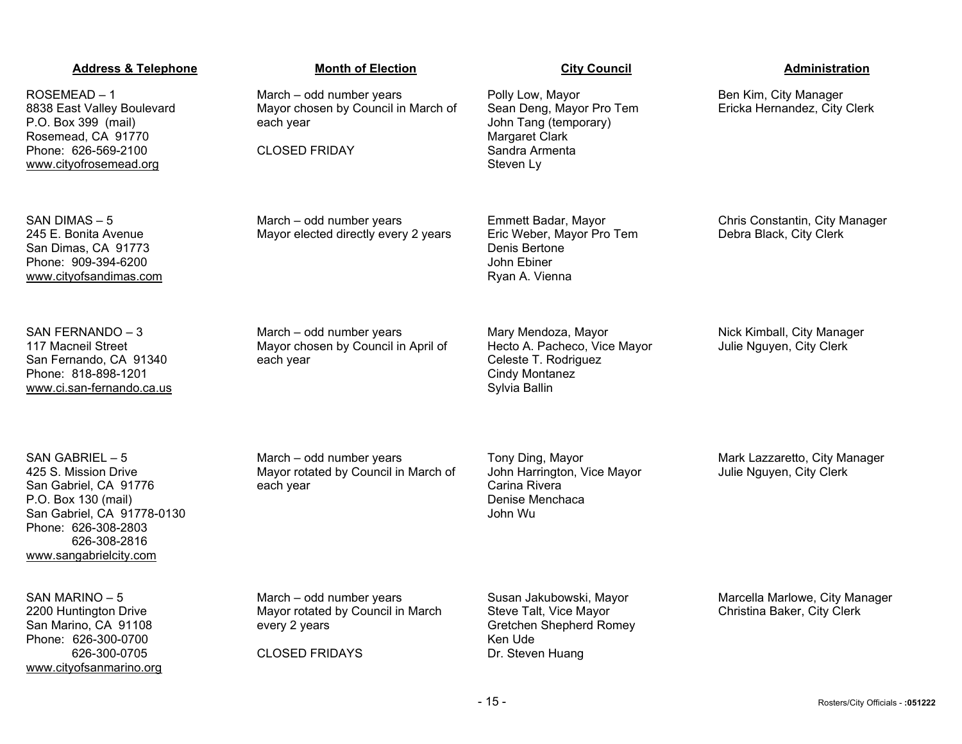ROSEMEAD – 1 8838 East Valley Boulevard P.O. Box 399 (mail) Rosemead, CA 91770 Phone: 626-569-2100 [www.cityofrosemead.org](http://www.cityofrosemead.org/)

SAN DIMAS – 5 245 E. Bonita Avenue San Dimas, CA 91773 Phone: 909-394-6200 [www.cityofsandimas.com](http://www.cityofsandimas.com/)

SAN FERNANDO – 3 117 Macneil Street San Fernando, CA 91340 Phone: 818-898-1201 [www.ci.san-fernando.ca.us](http://www.ci.san-fernando.ca.us/)

SAN GABRIEL – 5 425 S. Mission Drive San Gabriel, CA 91776 P.O. Box 130 (mail) San Gabriel, CA 91778-0130 Phone: 626-308-2803 626-308-2816 [www.sangabrielcity.com](http://www.sangabrielcity.com/)

SAN MARINO – 5 2200 Huntington Drive San Marino, CA 91108 Phone: 626-300-0700 626-300-0705 [www.cityofsanmarino.org](http://www.cityofsanmarino.org/)

March – odd number years Mayor chosen by Council in March of each year

CLOSED FRIDAY

March – odd number years Mayor elected directly every 2 years

Ryan A. Vienna

Mary Mendoza, Mayor Hecto A. Pacheco, Vice Mayor Celeste T. Rodriguez Cindy Montanez Sylvia Ballin

Nick Kimball, City Manager Julie Nguyen, City Clerk

March – odd number years Mayor rotated by Council in March of each year

March – odd number years

each year

Mayor chosen by Council in April of

Tony Ding, Mayor John Harrington, Vice Mayor Carina Rivera Denise Menchaca John Wu

Mark Lazzaretto, City Manager Julie Nguyen, City Clerk

March – odd number years Mayor rotated by Council in March every 2 years

CLOSED FRIDAYS

Susan Jakubowski, Mayor Steve Talt, Vice Mayor Gretchen Shepherd Romey Ken Ude Dr. Steven Huang

Marcella Marlowe, City Manager Christina Baker, City Clerk

Polly Low, Mayor Sean Deng, Mayor Pro Tem John Tang (temporary) Margaret Clark Sandra Armenta Steven Ly

Emmett Badar, Mayor Eric Weber, Mayor Pro Tem Denis Bertone John Ebiner

Chris Constantin, City Manager Debra Black, City Clerk

Ben Kim, City Manager Ericka Hernandez, City Clerk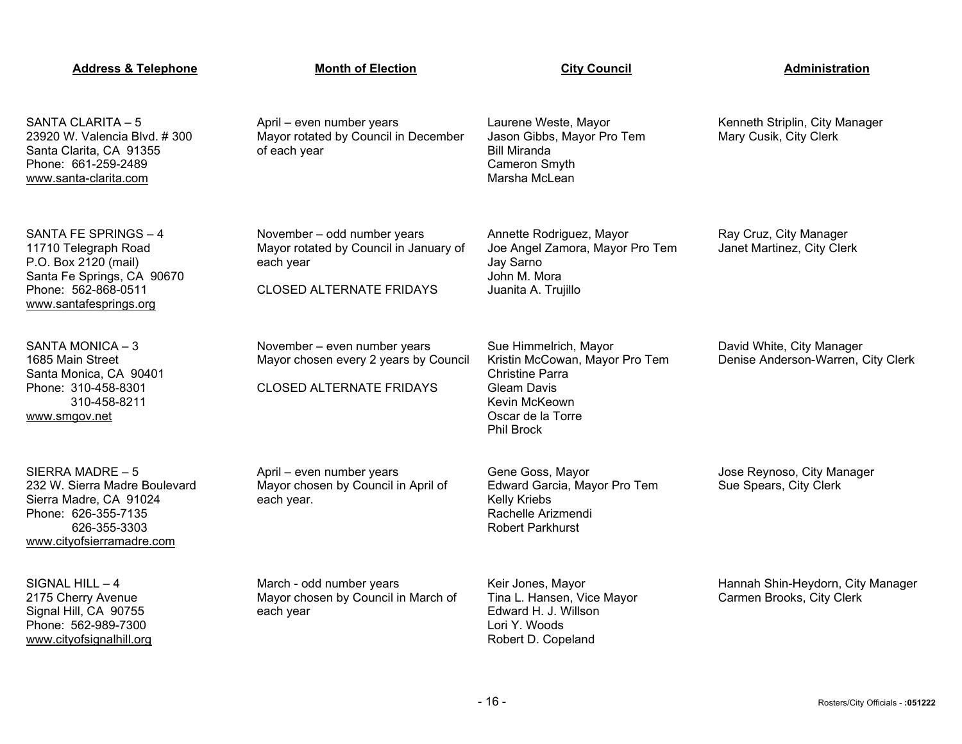| <b>Address &amp; Telephone</b>                                                                                                                      | <b>Month of Election</b>                                                                                              | <b>City Council</b>                                                                                                                                         | Administration                                                  |
|-----------------------------------------------------------------------------------------------------------------------------------------------------|-----------------------------------------------------------------------------------------------------------------------|-------------------------------------------------------------------------------------------------------------------------------------------------------------|-----------------------------------------------------------------|
| SANTA CLARITA - 5<br>23920 W. Valencia Blvd. #300<br>Santa Clarita, CA 91355<br>Phone: 661-259-2489<br>www.santa-clarita.com                        | April - even number years<br>Mayor rotated by Council in December<br>of each year                                     | Laurene Weste, Mayor<br>Jason Gibbs, Mayor Pro Tem<br><b>Bill Miranda</b><br>Cameron Smyth<br>Marsha McLean                                                 | Kenneth Striplin, City Manager<br>Mary Cusik, City Clerk        |
| SANTA FE SPRINGS - 4<br>11710 Telegraph Road<br>P.O. Box 2120 (mail)<br>Santa Fe Springs, CA 90670<br>Phone: 562-868-0511<br>www.santafesprings.org | November - odd number years<br>Mayor rotated by Council in January of<br>each year<br><b>CLOSED ALTERNATE FRIDAYS</b> | Annette Rodriguez, Mayor<br>Joe Angel Zamora, Mayor Pro Tem<br>Jay Sarno<br>John M. Mora<br>Juanita A. Trujillo                                             | Ray Cruz, City Manager<br>Janet Martinez, City Clerk            |
| SANTA MONICA-3<br>1685 Main Street<br>Santa Monica, CA 90401<br>Phone: 310-458-8301<br>310-458-8211<br>www.smgov.net                                | November - even number years<br>Mayor chosen every 2 years by Council<br><b>CLOSED ALTERNATE FRIDAYS</b>              | Sue Himmelrich, Mayor<br>Kristin McCowan, Mayor Pro Tem<br>Christine Parra<br><b>Gleam Davis</b><br>Kevin McKeown<br>Oscar de la Torre<br><b>Phil Brock</b> | David White, City Manager<br>Denise Anderson-Warren, City Clerk |
| SIERRA MADRE - 5<br>232 W. Sierra Madre Boulevard<br>Sierra Madre, CA 91024<br>Phone: 626-355-7135<br>626-355-3303<br>www.cityofsierramadre.com     | April - even number years<br>Mayor chosen by Council in April of<br>each year.                                        | Gene Goss, Mayor<br>Edward Garcia, Mayor Pro Tem<br>Kelly Kriebs<br>Rachelle Arizmendi<br><b>Robert Parkhurst</b>                                           | Jose Reynoso, City Manager<br>Sue Spears, City Clerk            |
| SIGNAL HILL $-4$<br>2175 Cherry Avenue<br>Signal Hill, CA 90755<br>Phone: 562-989-7300<br>www.cityofsignalhill.org                                  | March - odd number years<br>Mayor chosen by Council in March of<br>each year                                          | Keir Jones, Mayor<br>Tina L. Hansen, Vice Mayor<br>Edward H. J. Willson<br>Lori Y. Woods<br>Robert D. Copeland                                              | Hannah Shin-Heydorn, City Manager<br>Carmen Brooks, City Clerk  |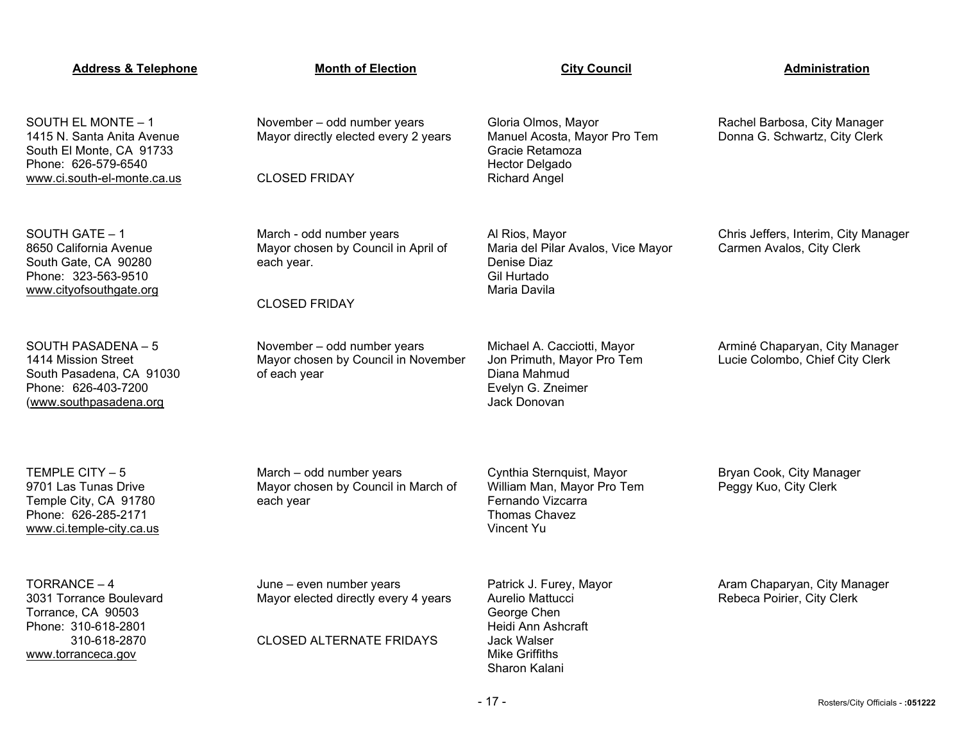| <b>Address &amp; Telephone</b>                                                                                                     | <b>Month of Election</b>                                                                              | <b>City Council</b>                                                                                                                       | <b>Administration</b>                                             |
|------------------------------------------------------------------------------------------------------------------------------------|-------------------------------------------------------------------------------------------------------|-------------------------------------------------------------------------------------------------------------------------------------------|-------------------------------------------------------------------|
| SOUTH EL MONTE - 1<br>1415 N. Santa Anita Avenue<br>South El Monte, CA 91733<br>Phone: 626-579-6540<br>www.ci.south-el-monte.ca.us | November - odd number years<br>Mayor directly elected every 2 years<br><b>CLOSED FRIDAY</b>           | Gloria Olmos, Mayor<br>Manuel Acosta, Mayor Pro Tem<br>Gracie Retamoza<br>Hector Delgado<br><b>Richard Angel</b>                          | Rachel Barbosa, City Manager<br>Donna G. Schwartz, City Clerk     |
| SOUTH GATE - 1<br>8650 California Avenue<br>South Gate, CA 90280<br>Phone: 323-563-9510<br>www.cityofsouthgate.org                 | March - odd number years<br>Mayor chosen by Council in April of<br>each year.<br><b>CLOSED FRIDAY</b> | Al Rios, Mayor<br>Maria del Pilar Avalos, Vice Mayor<br>Denise Diaz<br>Gil Hurtado<br>Maria Davila                                        | Chris Jeffers, Interim, City Manager<br>Carmen Avalos, City Clerk |
| SOUTH PASADENA - 5<br>1414 Mission Street<br>South Pasadena, CA 91030<br>Phone: 626-403-7200<br>(www.southpasadena.org             | November - odd number years<br>Mayor chosen by Council in November<br>of each year                    | Michael A. Cacciotti, Mayor<br>Jon Primuth, Mayor Pro Tem<br>Diana Mahmud<br>Evelyn G. Zneimer<br>Jack Donovan                            | Arminé Chaparyan, City Manager<br>Lucie Colombo, Chief City Clerk |
| TEMPLE CITY - 5<br>9701 Las Tunas Drive<br>Temple City, CA 91780<br>Phone: 626-285-2171<br>www.ci.temple-city.ca.us                | March - odd number years<br>Mayor chosen by Council in March of<br>each year                          | Cynthia Sternquist, Mayor<br>William Man, Mayor Pro Tem<br>Fernando Vizcarra<br><b>Thomas Chavez</b><br>Vincent Yu                        | Bryan Cook, City Manager<br>Peggy Kuo, City Clerk                 |
| TORRANCE-4<br>3031 Torrance Boulevard<br>Torrance, CA 90503<br>Phone: 310-618-2801<br>310-618-2870<br>www.torranceca.gov           | June - even number years<br>Mayor elected directly every 4 years<br><b>CLOSED ALTERNATE FRIDAYS</b>   | Patrick J. Furey, Mayor<br>Aurelio Mattucci<br>George Chen<br>Heidi Ann Ashcraft<br>Jack Walser<br><b>Mike Griffiths</b><br>Sharon Kalani | Aram Chaparyan, City Manager<br>Rebeca Poirier, City Clerk        |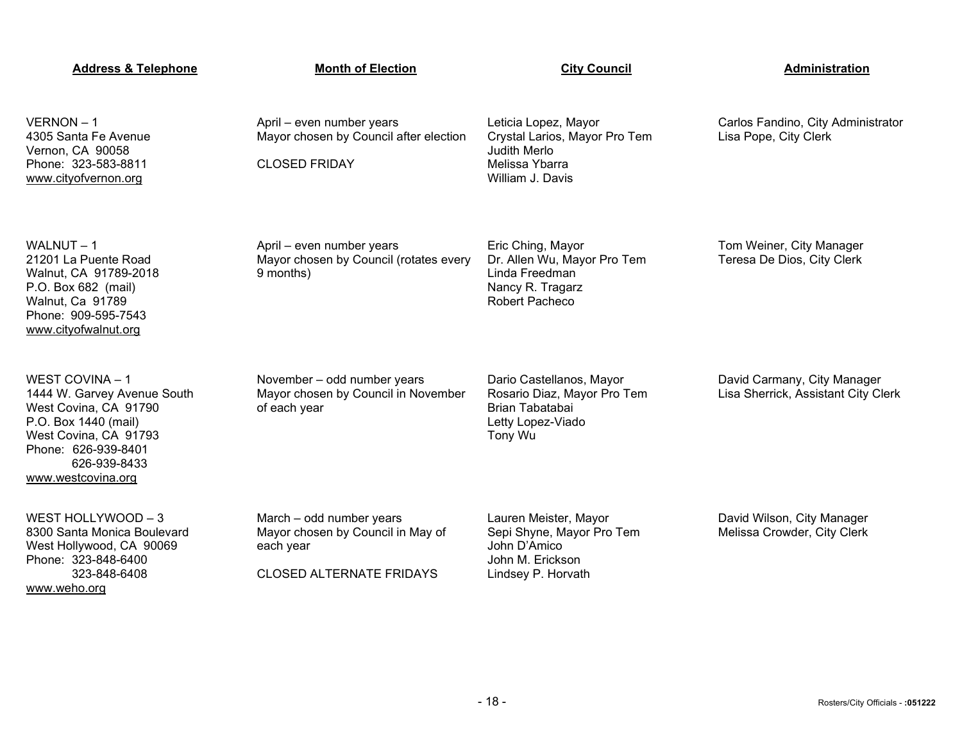| <b>Address &amp; Telephone</b>                                                                                                                                                        | <b>Month of Election</b>                                                                                      | <b>City Council</b>                                                                                          | Administration                                                     |
|---------------------------------------------------------------------------------------------------------------------------------------------------------------------------------------|---------------------------------------------------------------------------------------------------------------|--------------------------------------------------------------------------------------------------------------|--------------------------------------------------------------------|
| VERNON-1<br>4305 Santa Fe Avenue<br>Vernon, CA 90058<br>Phone: 323-583-8811<br>www.cityofvernon.org                                                                                   | April - even number years<br>Mayor chosen by Council after election<br><b>CLOSED FRIDAY</b>                   | Leticia Lopez, Mayor<br>Crystal Larios, Mayor Pro Tem<br>Judith Merlo<br>Melissa Ybarra<br>William J. Davis  | Carlos Fandino, City Administrator<br>Lisa Pope, City Clerk        |
| WALNUT-1<br>21201 La Puente Road<br>Walnut, CA 91789-2018<br>P.O. Box 682 (mail)<br>Walnut, Ca 91789<br>Phone: 909-595-7543<br>www.cityofwalnut.org                                   | April - even number years<br>Mayor chosen by Council (rotates every<br>9 months)                              | Eric Ching, Mayor<br>Dr. Allen Wu, Mayor Pro Tem<br>Linda Freedman<br>Nancy R. Tragarz<br>Robert Pacheco     | Tom Weiner, City Manager<br>Teresa De Dios, City Clerk             |
| WEST COVINA - 1<br>1444 W. Garvey Avenue South<br>West Covina, CA 91790<br>P.O. Box 1440 (mail)<br>West Covina, CA 91793<br>Phone: 626-939-8401<br>626-939-8433<br>www.westcovina.org | November - odd number years<br>Mayor chosen by Council in November<br>of each year                            | Dario Castellanos, Mayor<br>Rosario Diaz, Mayor Pro Tem<br>Brian Tabatabai<br>Letty Lopez-Viado<br>Tony Wu   | David Carmany, City Manager<br>Lisa Sherrick, Assistant City Clerk |
| WEST HOLLYWOOD - 3<br>8300 Santa Monica Boulevard<br>West Hollywood, CA 90069<br>Phone: 323-848-6400<br>323-848-6408<br>www.weho.org                                                  | March - odd number years<br>Mayor chosen by Council in May of<br>each year<br><b>CLOSED ALTERNATE FRIDAYS</b> | Lauren Meister, Mayor<br>Sepi Shyne, Mayor Pro Tem<br>John D'Amico<br>John M. Erickson<br>Lindsey P. Horvath | David Wilson, City Manager<br>Melissa Crowder, City Clerk          |